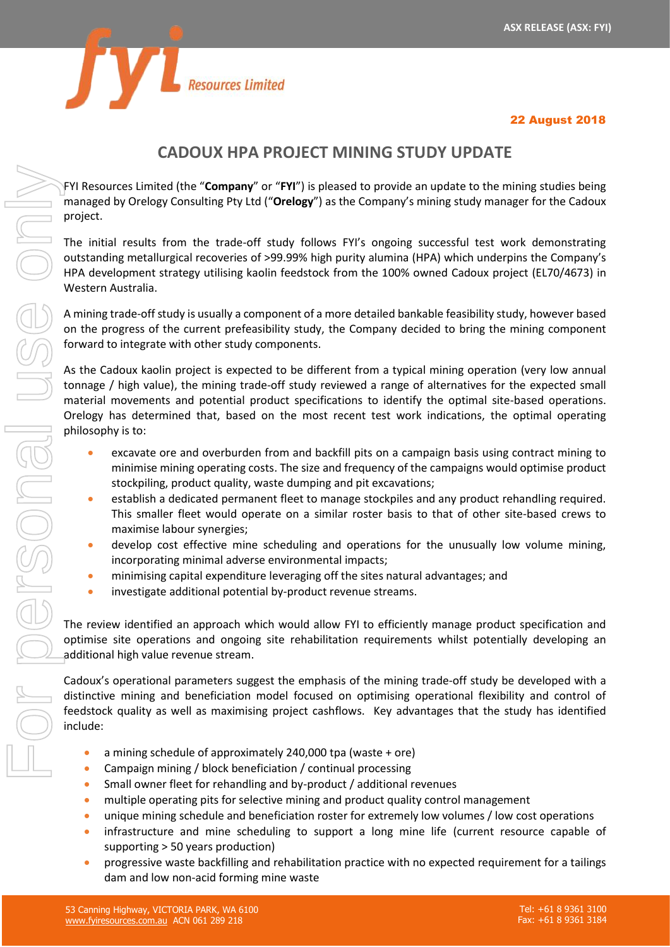

# 22 August 2018

# **CADOUX HPA PROJECT MINING STUDY UPDATE**

FYI Resources Limited (the "**Company**" or "**FYI**") is pleased to provide an update to the mining studies being managed by Orelogy Consulting Pty Ltd ("**Orelogy**") as the Company's mining study manager for the Cadoux project.

The initial results from the trade-off study follows FYI's ongoing successful test work demonstrating outstanding metallurgical recoveries of >99.99% high purity alumina (HPA) which underpins the Company's HPA development strategy utilising kaolin feedstock from the 100% owned Cadoux project (EL70/4673) in Western Australia.

A mining trade-off study is usually a component of a more detailed bankable feasibility study, however based on the progress of the current prefeasibility study, the Company decided to bring the mining component forward to integrate with other study components.

As the Cadoux kaolin project is expected to be different from a typical mining operation (very low annual tonnage / high value), the mining trade-off study reviewed a range of alternatives for the expected small material movements and potential product specifications to identify the optimal site-based operations. Orelogy has determined that, based on the most recent test work indications, the optimal operating philosophy is to:

- excavate ore and overburden from and backfill pits on a campaign basis using contract mining to minimise mining operating costs. The size and frequency of the campaigns would optimise product stockpiling, product quality, waste dumping and pit excavations;
- establish a dedicated permanent fleet to manage stockpiles and any product rehandling required. This smaller fleet would operate on a similar roster basis to that of other site-based crews to maximise labour synergies;
- develop cost effective mine scheduling and operations for the unusually low volume mining, incorporating minimal adverse environmental impacts;
- minimising capital expenditure leveraging off the sites natural advantages; and
- investigate additional potential by-product revenue streams.

The review identified an approach which would allow FYI to efficiently manage product specification and optimise site operations and ongoing site rehabilitation requirements whilst potentially developing an additional high value revenue stream.

Cadoux's operational parameters suggest the emphasis of the mining trade-off study be developed with a distinctive mining and beneficiation model focused on optimising operational flexibility and control of feedstock quality as well as maximising project cashflows. Key advantages that the study has identified include:

- a mining schedule of approximately 240,000 tpa (waste + ore)
- Campaign mining / block beneficiation / continual processing
- Small owner fleet for rehandling and by-product / additional revenues
- multiple operating pits for selective mining and product quality control management
- unique mining schedule and beneficiation roster for extremely low volumes / low cost operations
- infrastructure and mine scheduling to support a long mine life (current resource capable of supporting > 50 years production)
- progressive waste backfilling and rehabilitation practice with no expected requirement for a tailings dam and low non-acid forming mine waste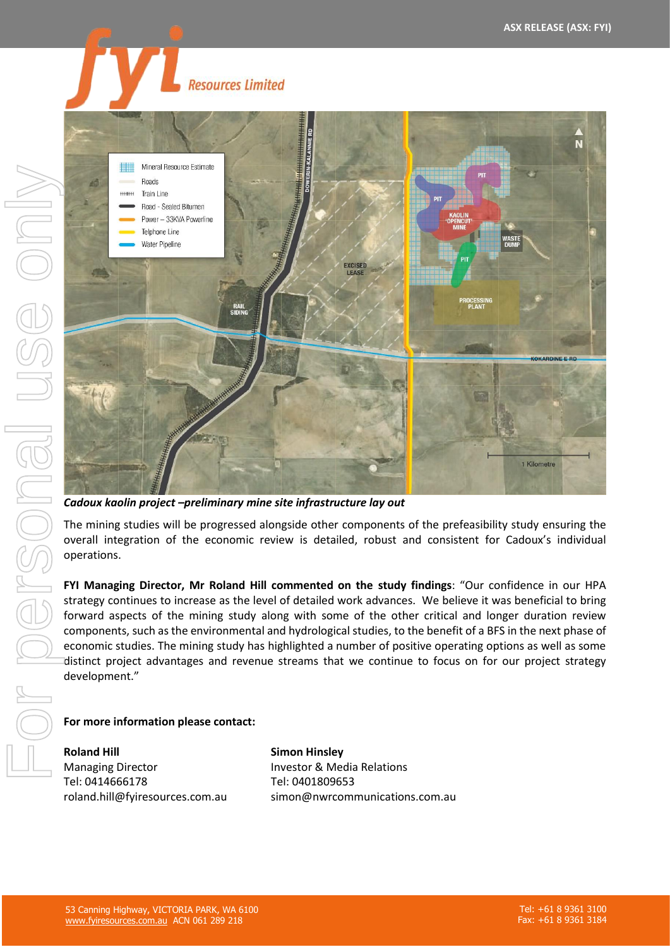

*Cadoux kaolin project –preliminary mine site infrastructure lay out*

The mining studies will be progressed alongside other components of the prefeasibility study ensuring the overall integration of the economic review is detailed, robust and consistent for Cadoux's individual operations.

**FYI Managing Director, Mr Roland Hill commented on the study findings**: "Our confidence in our HPA strategy continues to increase as the level of detailed work advances. We believe it was beneficial to bring forward aspects of the mining study along with some of the other critical and longer duration review components, such as the environmental and hydrological studies, to the benefit of a BFS in the next phase of economic studies. The mining study has highlighted a number of positive operating options as well as some distinct project advantages and revenue streams that we continue to focus on for our project strategy development."

## **For more information please contact:**

**Roland Hill** Managing Director Tel: 0414666178 roland.hill@fyiresources.com.au **Simon Hinsley** Investor & Media Relations Tel: 0401809653 simon@nwrcommunications.com.au